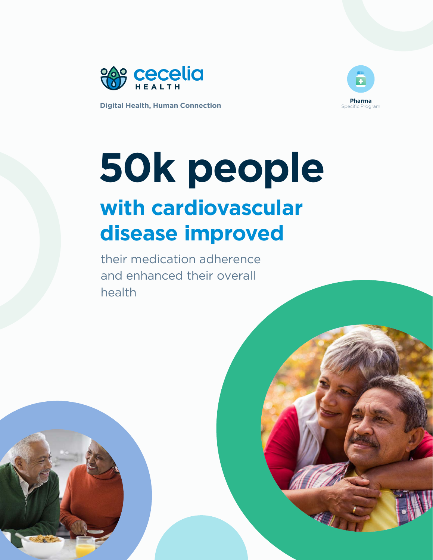



### **50k people with cardiovascular disease improved**

their medication adherence and enhanced their overall health



Digital Health, Human Connection ceceliahealth.com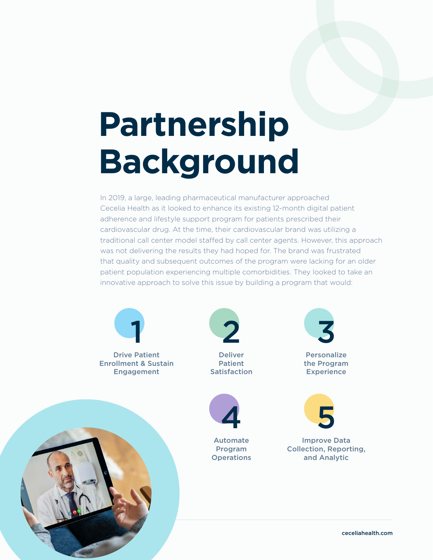## **Partnership Background**

In 2019, a large, leading pharmaceutical manufacturer approached Cecelia Health as it looked to enhance its existing 12-month digital patient adherence and lifestyle support program for patients prescribed their cardiovascular drug. At the time, their cardiovascular brand was utilizing a traditional call center model staffed by call center agents. However, this approach was not delivering the results they had hoped for. The brand was frustrated that quality and subsequent outcomes of the program were lacking for an older patient population experiencing multiple comorbidities. They looked to take an innovative approach to solve this issue by building a program that would:

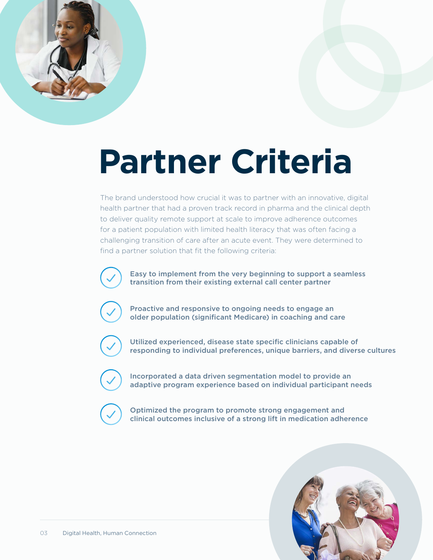

# **Partner Criteria**

The brand understood how crucial it was to partner with an innovative, digital health partner that had a proven track record in pharma and the clinical depth to deliver quality remote support at scale to improve adherence outcomes for a patient population with limited health literacy that was often facing a challenging transition of care after an acute event. They were determined to find a partner solution that fit the following criteria:



Easy to implement from the very beginning to support a seamless transition from their existing external call center partner



Proactive and responsive to ongoing needs to engage an older population (significant Medicare) in coaching and care



Utilized experienced, disease state specific clinicians capable of responding to individual preferences, unique barriers, and diverse cultures



Incorporated a data driven segmentation model to provide an adaptive program experience based on individual participant needs



Optimized the program to promote strong engagement and clinical outcomes inclusive of a strong lift in medication adherence

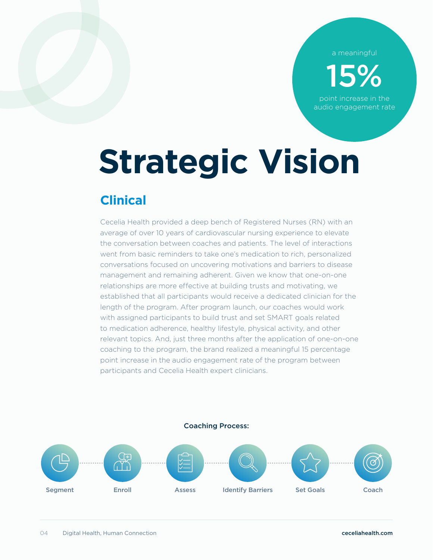a meaningful

15%

point increase in the audio engagement rate

# **Strategic Vision**

### **Clinical**

Cecelia Health provided a deep bench of Registered Nurses (RN) with an average of over 10 years of cardiovascular nursing experience to elevate the conversation between coaches and patients. The level of interactions went from basic reminders to take one's medication to rich, personalized conversations focused on uncovering motivations and barriers to disease management and remaining adherent. Given we know that one-on-one relationships are more effective at building trusts and motivating, we established that all participants would receive a dedicated clinician for the length of the program. After program launch, our coaches would work with assigned participants to build trust and set SMART goals related to medication adherence, healthy lifestyle, physical activity, and other relevant topics. And, just three months after the application of one-on-one coaching to the program, the brand realized a meaningful 15 percentage point increase in the audio engagement rate of the program between participants and Cecelia Health expert clinicians.

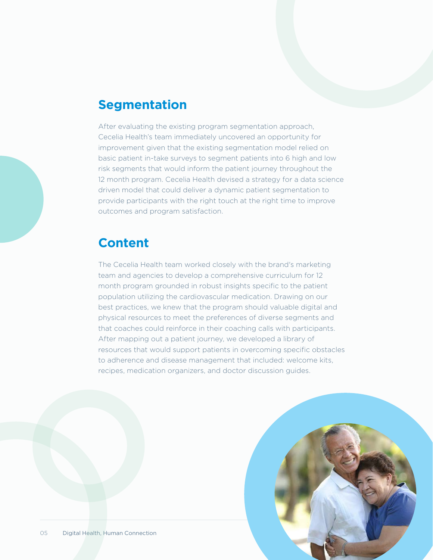### **Segmentation**

After evaluating the existing program segmentation approach, Cecelia Health's team immediately uncovered an opportunity for improvement given that the existing segmentation model relied on basic patient in-take surveys to segment patients into 6 high and low risk segments that would inform the patient journey throughout the 12 month program. Cecelia Health devised a strategy for a data science driven model that could deliver a dynamic patient segmentation to provide participants with the right touch at the right time to improve outcomes and program satisfaction.

### **Content**

The Cecelia Health team worked closely with the brand's marketing team and agencies to develop a comprehensive curriculum for 12 month program grounded in robust insights specific to the patient population utilizing the cardiovascular medication. Drawing on our best practices, we knew that the program should valuable digital and physical resources to meet the preferences of diverse segments and that coaches could reinforce in their coaching calls with participants. After mapping out a patient journey, we developed a library of resources that would support patients in overcoming specific obstacles to adherence and disease management that included: welcome kits, recipes, medication organizers, and doctor discussion guides.

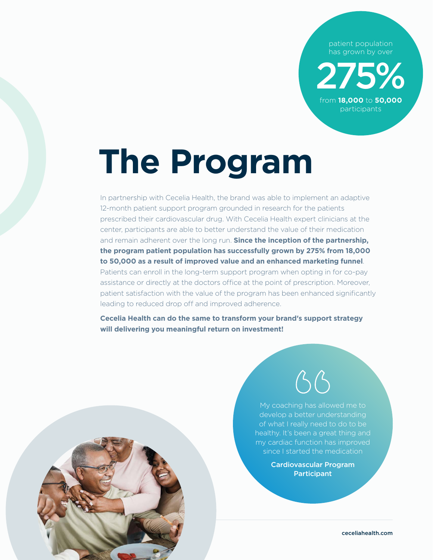patient population has grown by over

275% from **18,000** to **50,000**

participants

## **The Program**

In partnership with Cecelia Health, the brand was able to implement an adaptive 12-month patient support program grounded in research for the patients prescribed their cardiovascular drug. With Cecelia Health expert clinicians at the center, participants are able to better understand the value of their medication and remain adherent over the long run. **Since the inception of the partnership, the program patient population has successfully grown by 275% from 18,000 to 50,000 as a result of improved value and an enhanced marketing funnel**. Patients can enroll in the long-term support program when opting in for co-pay assistance or directly at the doctors office at the point of prescription. Moreover, patient satisfaction with the value of the program has been enhanced significantly leading to reduced drop off and improved adherence.

**Cecelia Health can do the same to transform your brand's support strategy will delivering you meaningful return on investment!**





My coaching has allowed me to develop a better understanding healthy. It's been a great thing and my cardiac function has improved since I started the medication

> Cardiovascular Program **Participant**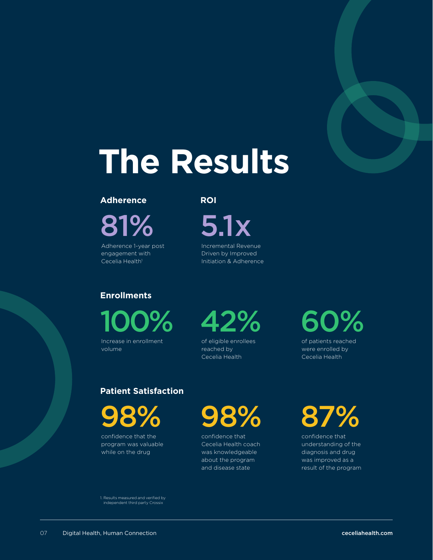

## **The Results**

#### **Adherence**

81%

Adherence 1-year post engagement with Cecelia Health<sup>1</sup>

#### **ROI**

5.1x

Incremental Revenue Driven by Improved Initiation & Adherence

### **Enrollments**

100%

Increase in enrollment volume



of eligible enrollees reached by Cecelia Health

### 60%

of patients reached were enrolled by Cecelia Health

#### **Patient Satisfaction**

98%

confidence that the program was valuable while on the drug

98%

confidence that Cecelia Health coach was knowledgeable about the program and disease state

### 87%

confidence that understanding of the diagnosis and drug was improved as a result of the program

1. Results measured and verified by independent third party Crossix